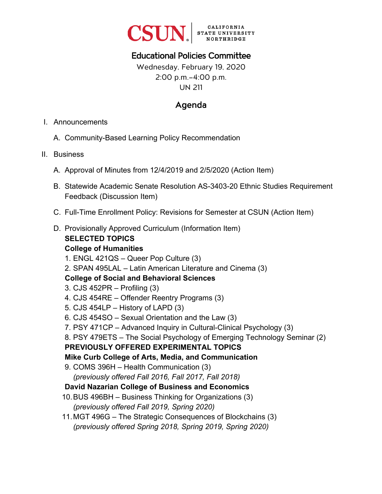

# Educational Policies Committee

Wednesday, February 19, 2020 2:00 p.m.–4:00 p.m. UN 211

### Agenda

- I. Announcements
	- A. Community-Based Learning Policy Recommendation
- II. Business
	- A. Approval of Minutes from 12/4/2019 and 2/5/2020 (Action Item)
	- B. Statewide Academic Senate Resolution AS-3403-20 Ethnic Studies Requirement Feedback (Discussion Item)
	- C. Full-Time Enrollment Policy: Revisions for Semester at CSUN (Action Item)
	- D. Provisionally Approved Curriculum (Information Item)

#### **SELECTED TOPICS College of Humanities**

- 1. ENGL 421QS Queer Pop Culture (3)
- 2. SPAN 495LAL Latin American Literature and Cinema (3)

#### **College of Social and Behavioral Sciences**

- 3. CJS 452PR Profiling (3)
- 4. CJS 454RE Offender Reentry Programs (3)
- 5. CJS 454LP History of LAPD (3)
- 6. CJS 454SO Sexual Orientation and the Law (3)
- 7. PSY 471CP Advanced Inquiry in Cultural-Clinical Psychology (3)
- 8. PSY 479ETS The Social Psychology of Emerging Technology Seminar (2)

### **PREVIOUSLY OFFERED EXPERIMENTAL TOPICS**

- **Mike Curb College of Arts, Media, and Communication**
- 9. COMS 396H Health Communication (3) *(previously offered Fall 2016, Fall 2017, Fall 2018)*

#### **David Nazarian College of Business and Economics**

- 10.BUS 496BH Business Thinking for Organizations (3) *(previously offered Fall 2019, Spring 2020)*
- 11. MGT 496G The Strategic Consequences of Blockchains (3) *(previously offered Spring 2018, Spring 2019, Spring 2020)*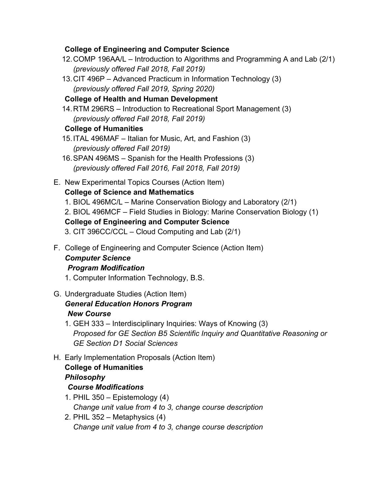#### **College of Engineering and Computer Science**

- 12. COMP 196AA/L Introduction to Algorithms and Programming A and Lab (2/1) *(previously offered Fall 2018, Fall 2019)*
- 13. CIT 496P Advanced Practicum in Information Technology (3) *(previously offered Fall 2019, Spring 2020)*

#### **College of Health and Human Development**

14.RTM 296RS – Introduction to Recreational Sport Management (3) *(previously offered Fall 2018, Fall 2019)*

### **College of Humanities**

- 15. ITAL 496MAF Italian for Music, Art, and Fashion (3) *(previously offered Fall 2019)*
- 16. SPAN 496MS Spanish for the Health Professions (3) *(previously offered Fall 2016, Fall 2018, Fall 2019)*
- E. New Experimental Topics Courses (Action Item)

### **College of Science and Mathematics**

- 1. BIOL 496MC/L Marine Conservation Biology and Laboratory (2/1) 2. BIOL 496MCF – Field Studies in Biology: Marine Conservation Biology (1) **College of Engineering and Computer Science**
- 3. CIT 396CC/CCL Cloud Computing and Lab (2/1)
- F. College of Engineering and Computer Science (Action Item) *Computer Science*

### *Program Modification*

- 1. Computer Information Technology, B.S.
- G. Undergraduate Studies (Action Item) *General Education Honors Program New Course*
	- 1. GEH 333 Interdisciplinary Inquiries: Ways of Knowing (3) *Proposed for GE Section B5 Scientific Inquiry and Quantitative Reasoning or GE Section D1 Social Sciences*
- H. Early Implementation Proposals (Action Item) **College of Humanities**  *Philosophy Course Modifications* 
	- 1. PHIL 350 Epistemology (4) *Change unit value from 4 to 3, change course description*
	- 2. PHIL 352 Metaphysics (4) *Change unit value from 4 to 3, change course description*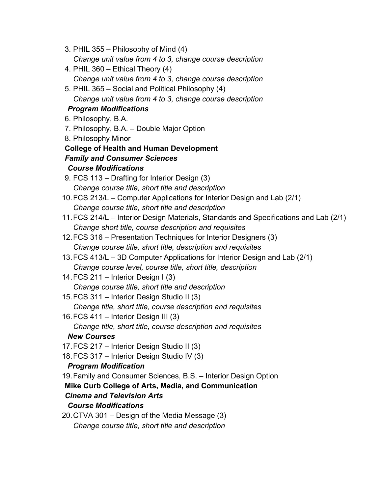- 3. PHIL 355 Philosophy of Mind (4) *Change unit value from 4 to 3, change course description*
- 4. PHIL 360 Ethical Theory (4) *Change unit value from 4 to 3, change course description*
- 5. PHIL 365 Social and Political Philosophy (4) *Change unit value from 4 to 3, change course description*

### *Program Modifications*

- 6. Philosophy, B.A.
- 7. Philosophy, B.A. Double Major Option
- 8. Philosophy Minor

# **College of Health and Human Development**

# *Family and Consumer Sciences*

# *Course Modifications*

- 9. FCS 113 Drafting for Interior Design (3) *Change course title, short title and description*
- 10. FCS 213/L Computer Applications for Interior Design and Lab (2/1) *Change course title, short title and description*
- 11. FCS 214/L Interior Design Materials, Standards and Specifications and Lab (2/1) *Change short title, course description and requisites*
- 12. FCS 316 Presentation Techniques for Interior Designers (3) *Change course title, short title, description and requisites*
- 13. FCS 413/L 3D Computer Applications for Interior Design and Lab (2/1) *Change course level, course title, short title, description*
- 14. FCS 211 Interior Design I (3) *Change course title, short title and description*
- 15. FCS 311 Interior Design Studio II (3) *Change title, short title, course description and requisites*
- 16. FCS 411 Interior Design III (3) *Change title, short title, course description and requisites*

# *New Courses*

- 17. FCS 217 Interior Design Studio II (3)
- 18. FCS 317 Interior Design Studio IV (3)

# *Program Modification*

- 19.Family and Consumer Sciences, B.S. Interior Design Option
- **Mike Curb College of Arts, Media, and Communication**

# *Cinema and Television Arts*

# *Course Modifications*

20. CTVA 301 – Design of the Media Message (3) *Change course title, short title and description*